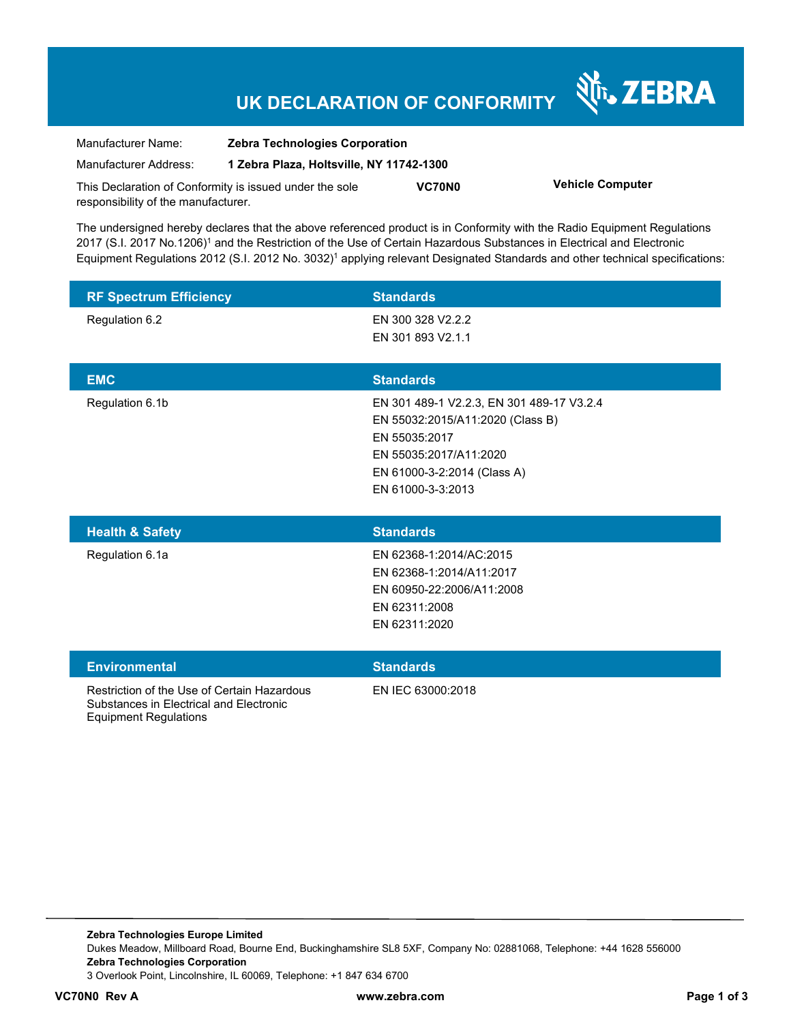## **UK DECLARATION OF CONFORMITY**

Nr. ZEBRA

| Manufacturer Name:                                      | <b>Zebra Technologies Corporation</b>    |               |                         |
|---------------------------------------------------------|------------------------------------------|---------------|-------------------------|
| Manufacturer Address:                                   | 1 Zebra Plaza, Holtsville, NY 11742-1300 |               |                         |
| This Declaration of Conformity is issued under the sole |                                          | <b>VC70N0</b> | <b>Vehicle Computer</b> |
| responsibility of the manufacturer.                     |                                          |               |                         |

The undersigned hereby declares that the above referenced product is in Conformity with the Radio Equipment Regulations 2017 (S.I. 2017 No.1206)<sup>1</sup> and the Restriction of the Use of Certain Hazardous Substances in Electrical and Electronic Equipment Regulations 2012 (S.I. 2012 No. 3032)<sup>1</sup> applying relevant Designated Standards and other technical specifications:

| <b>RF Spectrum Efficiency</b> | <b>Standards</b>                          |
|-------------------------------|-------------------------------------------|
| Regulation 6.2                | EN 300 328 V2.2.2                         |
|                               | EN 301 893 V2.1.1                         |
|                               |                                           |
| <b>EMC</b>                    | <b>Standards</b>                          |
| Regulation 6.1b               | EN 301 489-1 V2.2.3, EN 301 489-17 V3.2.4 |
|                               | EN 55032:2015/A11:2020 (Class B)          |
|                               | EN 55035:2017                             |
|                               | EN 55035:2017/A11:2020                    |
|                               | EN 61000-3-2:2014 (Class A)               |
|                               | EN 61000-3-3:2013                         |
|                               |                                           |

| <b>Health &amp; Safety</b> | <b>Standards</b>          |
|----------------------------|---------------------------|
| Regulation 6.1a            | EN 62368-1:2014/AC:2015   |
|                            | EN 62368-1:2014/A11:2017  |
|                            | EN 60950-22:2006/A11:2008 |
|                            | EN 62311:2008             |
|                            | EN 62311:2020             |
|                            |                           |

| <b>Environmental</b>                                                                   | <b>Standards</b>  |
|----------------------------------------------------------------------------------------|-------------------|
| Restriction of the Use of Certain Hazardous<br>Substances in Electrical and Electronic | EN IEC 63000:2018 |

Equipment Regulations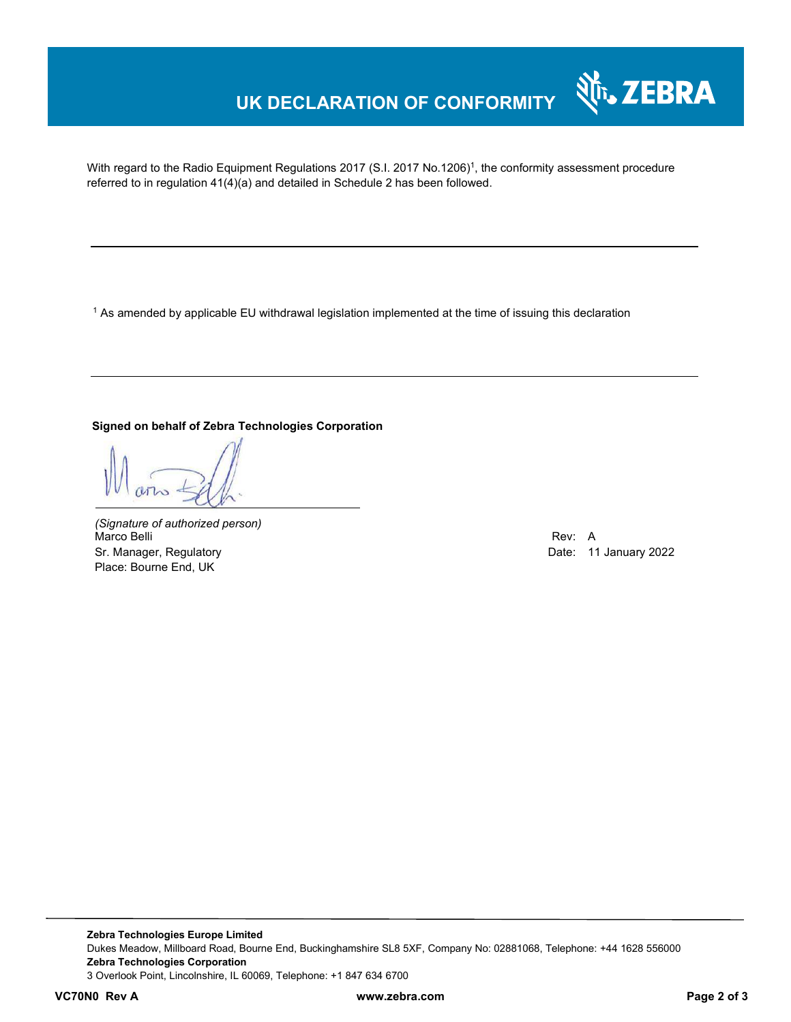## **UK DECLARATION OF CONFORMITY**

With regard to the Radio Equipment Regulations 2017 (S.I. 2017 No.1206)<sup>1</sup>, the conformity assessment procedure referred to in regulation 41(4)(a) and detailed in Schedule 2 has been followed.

 $^{\rm 1}$  As amended by applicable EU withdrawal legislation implemented at the time of issuing this declaration

### **Signed on behalf of Zebra Technologies Corporation**

*(Signature of authorized person)* Marco Belli Rev: A Sr. Manager, Regulatory **Date: 11 January 2022** Place: Bourne End, UK

र्शे<sub>ि</sub>, ZEBRA

**Zebra Technologies Europe Limited**  Dukes Meadow, Millboard Road, Bourne End, Buckinghamshire SL8 5XF, Company No: 02881068, Telephone: +44 1628 556000 **Zebra Technologies Corporation**  3 Overlook Point, Lincolnshire, IL 60069, Telephone: +1 847 634 6700